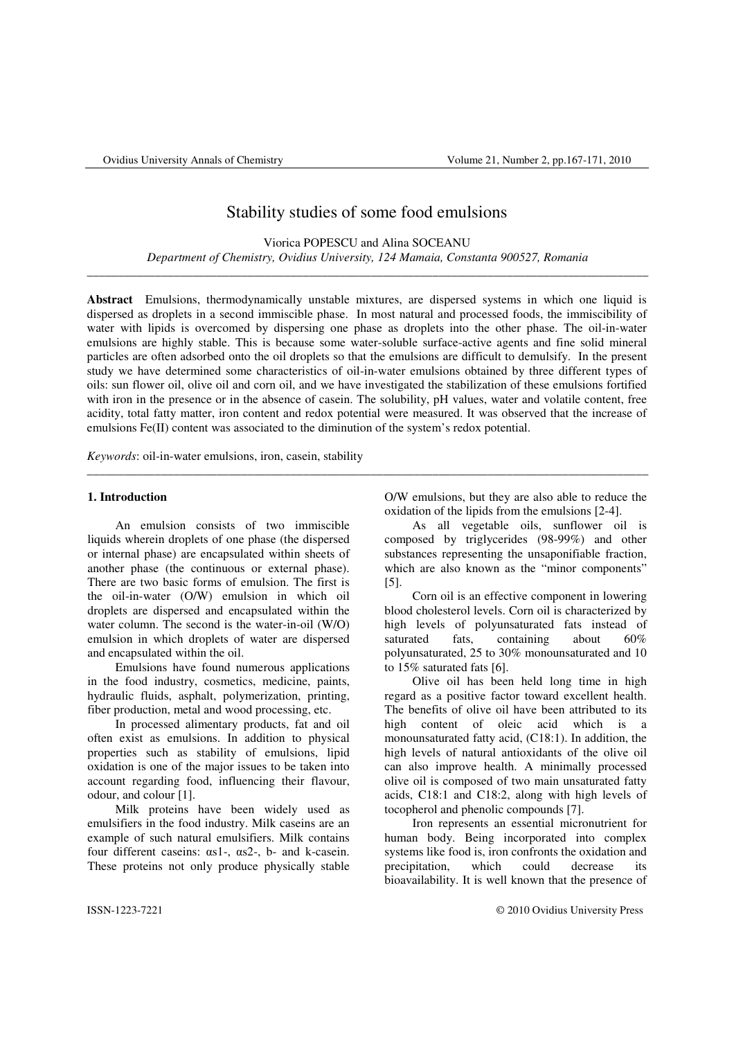# Stability studies of some food emulsions

Viorica POPESCU and Alina SOCEANU *Department of Chemistry, Ovidius University, 124 Mamaia, Constanta 900527, Romania* \_\_\_\_\_\_\_\_\_\_\_\_\_\_\_\_\_\_\_\_\_\_\_\_\_\_\_\_\_\_\_\_\_\_\_\_\_\_\_\_\_\_\_\_\_\_\_\_\_\_\_\_\_\_\_\_\_\_\_\_\_\_\_\_\_\_\_\_\_\_\_\_\_\_\_\_\_\_\_\_\_\_\_\_\_\_\_\_\_\_\_

**Abstract** Emulsions, thermodynamically unstable mixtures, are dispersed systems in which one liquid is dispersed as droplets in a second immiscible phase. In most natural and processed foods, the immiscibility of water with lipids is overcomed by dispersing one phase as droplets into the other phase. The oil-in-water emulsions are highly stable. This is because some water-soluble surface-active agents and fine solid mineral particles are often adsorbed onto the oil droplets so that the emulsions are difficult to demulsify. In the present study we have determined some characteristics of oil-in-water emulsions obtained by three different types of oils: sun flower oil, olive oil and corn oil, and we have investigated the stabilization of these emulsions fortified with iron in the presence or in the absence of casein. The solubility, pH values, water and volatile content, free acidity, total fatty matter, iron content and redox potential were measured. It was observed that the increase of emulsions Fe(II) content was associated to the diminution of the system's redox potential.

\_\_\_\_\_\_\_\_\_\_\_\_\_\_\_\_\_\_\_\_\_\_\_\_\_\_\_\_\_\_\_\_\_\_\_\_\_\_\_\_\_\_\_\_\_\_\_\_\_\_\_\_\_\_\_\_\_\_\_\_\_\_\_\_\_\_\_\_\_\_\_\_\_\_\_\_\_\_\_\_\_\_\_\_\_\_\_\_\_\_\_

*Keywords*: oil-in-water emulsions, iron, casein, stability

# **1. Introduction**

 An emulsion consists of two immiscible liquids wherein droplets of one phase (the dispersed or internal phase) are encapsulated within sheets of another phase (the continuous or external phase). There are two basic forms of emulsion. The first is the oil-in-water (O/W) emulsion in which oil droplets are dispersed and encapsulated within the water column. The second is the water-in-oil (W/O) emulsion in which droplets of water are dispersed and encapsulated within the oil.

Emulsions have found numerous applications in the food industry, cosmetics, medicine, paints, hydraulic fluids, asphalt, polymerization, printing, fiber production, metal and wood processing, etc.

In processed alimentary products, fat and oil often exist as emulsions. In addition to physical properties such as stability of emulsions, lipid oxidation is one of the major issues to be taken into account regarding food, influencing their flavour, odour, and colour [1].

Milk proteins have been widely used as emulsifiers in the food industry. Milk caseins are an example of such natural emulsifiers. Milk contains four different caseins: αs1-, αs2-, b- and k-casein. These proteins not only produce physically stable

O/W emulsions, but they are also able to reduce the oxidation of the lipids from the emulsions [2-4].

As all vegetable oils, sunflower oil is composed by triglycerides (98-99%) and other substances representing the unsaponifiable fraction, which are also known as the "minor components" [5].

Corn oil is an effective component in lowering blood cholesterol levels. Corn oil is characterized by high levels of polyunsaturated fats instead of saturated fats, containing about 60% polyunsaturated, 25 to 30% monounsaturated and 10 to 15% saturated fats [6].

Olive oil has been held long time in high regard as a positive factor toward excellent health. The benefits of olive oil have been attributed to its high content of oleic acid which is a monounsaturated fatty acid, (C18:1). In addition, the high levels of natural antioxidants of the olive oil can also improve health. A minimally processed olive oil is composed of two main unsaturated fatty acids, C18:1 and C18:2, along with high levels of tocopherol and phenolic compounds [7].

Iron represents an essential micronutrient for human body. Being incorporated into complex systems like food is, iron confronts the oxidation and precipitation, which could decrease its bioavailability. It is well known that the presence of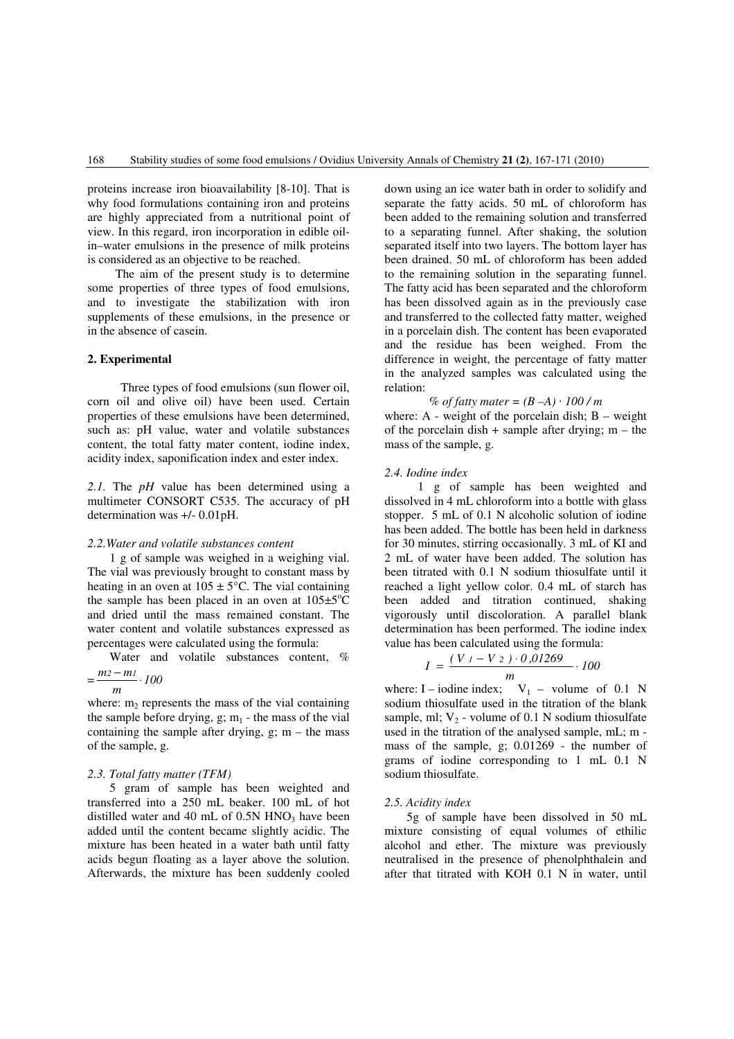proteins increase iron bioavailability [8-10]. That is why food formulations containing iron and proteins are highly appreciated from a nutritional point of view. In this regard, iron incorporation in edible oilin–water emulsions in the presence of milk proteins is considered as an objective to be reached.

The aim of the present study is to determine some properties of three types of food emulsions, and to investigate the stabilization with iron supplements of these emulsions, in the presence or in the absence of casein.

# **2. Experimental**

Three types of food emulsions (sun flower oil, corn oil and olive oil) have been used. Certain properties of these emulsions have been determined, such as: pH value, water and volatile substances content, the total fatty mater content, iodine index, acidity index, saponification index and ester index.

2.1. The *pH* value has been determined using a multimeter CONSORT C535. The accuracy of pH determination was +/- 0.01pH.

#### *2.2.Water and volatile substances content*

1 g of sample was weighed in a weighing vial. The vial was previously brought to constant mass by heating in an oven at  $105 \pm 5^{\circ}$ C. The vial containing the sample has been placed in an oven at  $105\pm5\degree C$ and dried until the mass remained constant. The water content and volatile substances expressed as percentages were calculated using the formula:

Water and volatile substances content, %

$$
=\frac{m_2-m_1}{m}\cdot 100
$$

where:  $m<sub>2</sub>$  represents the mass of the vial containing the sample before drying,  $g$ ;  $m_1$  - the mass of the vial containing the sample after drying,  $g$ ;  $m -$  the mass of the sample, g.

## *2.3. Total fatty matter (TFM)*

5 gram of sample has been weighted and transferred into a 250 mL beaker. 100 mL of hot distilled water and 40 mL of  $0.5N$  HNO<sub>3</sub> have been added until the content became slightly acidic. The mixture has been heated in a water bath until fatty acids begun floating as a layer above the solution. Afterwards, the mixture has been suddenly cooled

down using an ice water bath in order to solidify and separate the fatty acids. 50 mL of chloroform has been added to the remaining solution and transferred to a separating funnel. After shaking, the solution separated itself into two layers. The bottom layer has been drained. 50 mL of chloroform has been added to the remaining solution in the separating funnel. The fatty acid has been separated and the chloroform has been dissolved again as in the previously case and transferred to the collected fatty matter, weighed in a porcelain dish. The content has been evaporated and the residue has been weighed. From the difference in weight, the percentage of fatty matter in the analyzed samples was calculated using the relation:

*% of fatty mater = (B –A)* · *100 / m*  where:  $A$  - weight of the porcelain dish;  $B$  – weight of the porcelain dish + sample after drying;  $m - b$ mass of the sample, g.

#### *2.4. Iodine index*

1 g of sample has been weighted and dissolved in 4 mL chloroform into a bottle with glass stopper. 5 mL of 0.1 N alcoholic solution of iodine has been added. The bottle has been held in darkness for 30 minutes, stirring occasionally. 3 mL of KI and 2 mL of water have been added. The solution has been titrated with 0.1 N sodium thiosulfate until it reached a light yellow color. 0.4 mL of starch has been added and titration continued, shaking vigorously until discoloration. A parallel blank determination has been performed. The iodine index value has been calculated using the formula:

$$
I = \frac{(V_1 - V_2) \cdot 0.01269}{m} \cdot 100
$$

where: I – iodine index;  $V_1$  – volume of 0.1 N sodium thiosulfate used in the titration of the blank sample, ml;  $V_2$  - volume of 0.1 N sodium thiosulfate used in the titration of the analysed sample, mL; m mass of the sample, g; 0.01269 - the number of grams of iodine corresponding to 1 mL 0.1 N sodium thiosulfate.

## *2.5. Acidity index*

 5g of sample have been dissolved in 50 mL mixture consisting of equal volumes of ethilic alcohol and ether. The mixture was previously neutralised in the presence of phenolphthalein and after that titrated with KOH 0.1 N in water, until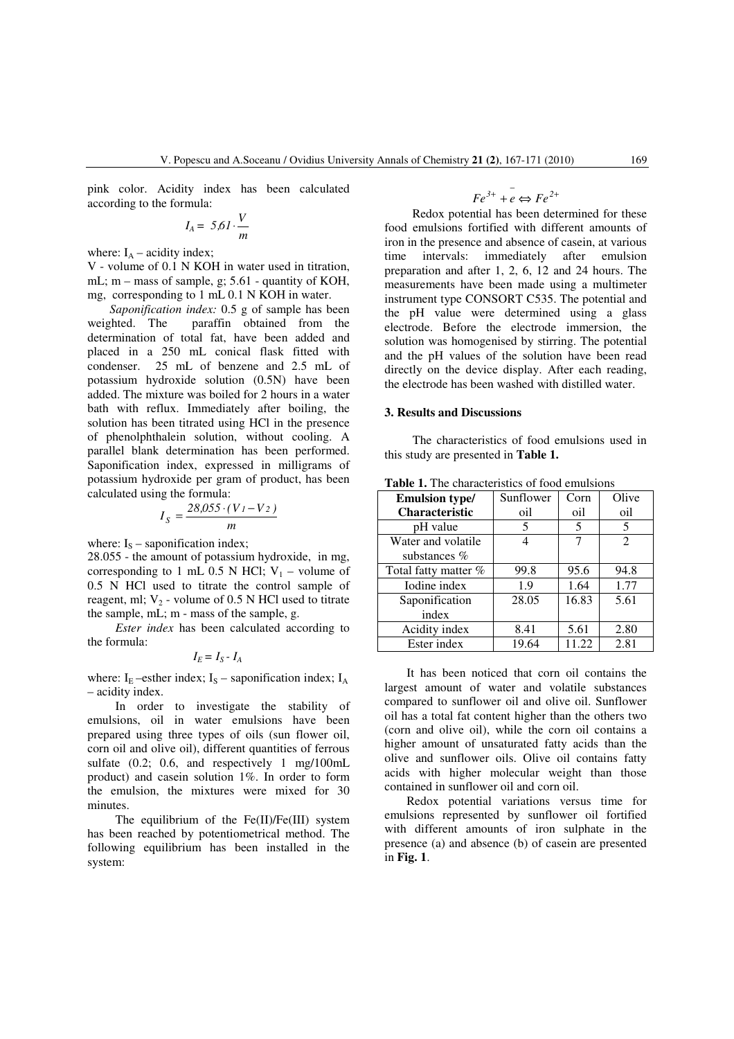pink color. Acidity index has been calculated according to the formula:

$$
I_A = 5.61 \cdot \frac{V}{m}
$$

where:  $I_A$  – acidity index;

V - volume of 0.1 N KOH in water used in titration, mL; m – mass of sample, g; 5.61 - quantity of KOH, mg, corresponding to 1 mL 0.1 N KOH in water.

*Saponification index:* 0.5 g of sample has been weighted. The paraffin obtained from the paraffin obtained from the determination of total fat, have been added and placed in a 250 mL conical flask fitted with condenser. 25 mL of benzene and 2.5 mL of potassium hydroxide solution (0.5N) have been added. The mixture was boiled for 2 hours in a water bath with reflux. Immediately after boiling, the solution has been titrated using HCl in the presence of phenolphthalein solution, without cooling. A parallel blank determination has been performed. Saponification index, expressed in milligrams of potassium hydroxide per gram of product, has been calculated using the formula:

$$
I_S = \frac{28,055 \cdot (V_I - V_2)}{m}
$$

where:  $I_s$  – saponification index;

28.055 - the amount of potassium hydroxide, in mg, corresponding to 1 mL 0.5 N HCl;  $V_1$  – volume of 0.5 N HCl used to titrate the control sample of reagent, ml;  $V_2$  - volume of 0.5 N HCl used to titrate the sample, mL; m - mass of the sample, g.

 *Ester index* has been calculated according to the formula:

$$
I_E = I_S - I_A
$$

where:  $I<sub>E</sub>$  –esther index;  $I<sub>S</sub>$  – saponification index;  $I<sub>A</sub>$ – acidity index.

 In order to investigate the stability of emulsions, oil in water emulsions have been prepared using three types of oils (sun flower oil, corn oil and olive oil), different quantities of ferrous sulfate (0.2; 0.6, and respectively 1 mg/100mL product) and casein solution 1%. In order to form the emulsion, the mixtures were mixed for 30 minutes.

 The equilibrium of the Fe(II)/Fe(III) system has been reached by potentiometrical method. The following equilibrium has been installed in the system:

$$
Fe^{3+} + e \Leftrightarrow Fe^{2+}
$$

 Redox potential has been determined for these food emulsions fortified with different amounts of iron in the presence and absence of casein, at various time intervals: immediately after emulsion preparation and after 1, 2, 6, 12 and 24 hours. The measurements have been made using a multimeter instrument type CONSORT C535. The potential and the pH value were determined using a glass electrode. Before the electrode immersion, the solution was homogenised by stirring. The potential and the pH values of the solution have been read directly on the device display. After each reading, the electrode has been washed with distilled water.

# **3. Results and Discussions**

The characteristics of food emulsions used in this study are presented in **Table 1.**

| <b>Emulsion type/</b> | Sunflower | Corn  | Olive                       |
|-----------------------|-----------|-------|-----------------------------|
| Characteristic        | oil       | oil   | oil                         |
| pH value              | 5         | 5     | 5                           |
| Water and volatile    |           | 7     | $\mathcal{D}_{\mathcal{L}}$ |
| substances $%$        |           |       |                             |
| Total fatty matter %  | 99.8      | 95.6  | 94.8                        |
| Iodine index          | 1.9       | 1.64  | 1.77                        |
| Saponification        | 28.05     | 16.83 | 5.61                        |
| index                 |           |       |                             |
| Acidity index         | 8.41      | 5.61  | 2.80                        |
| Ester index           | 19.64     | 11.22 | 2.81                        |

**Table 1.** The characteristics of food emulsions

It has been noticed that corn oil contains the largest amount of water and volatile substances compared to sunflower oil and olive oil. Sunflower oil has a total fat content higher than the others two (corn and olive oil), while the corn oil contains a higher amount of unsaturated fatty acids than the olive and sunflower oils. Olive oil contains fatty acids with higher molecular weight than those contained in sunflower oil and corn oil.

Redox potential variations versus time for emulsions represented by sunflower oil fortified with different amounts of iron sulphate in the presence (a) and absence (b) of casein are presented in **Fig. 1**.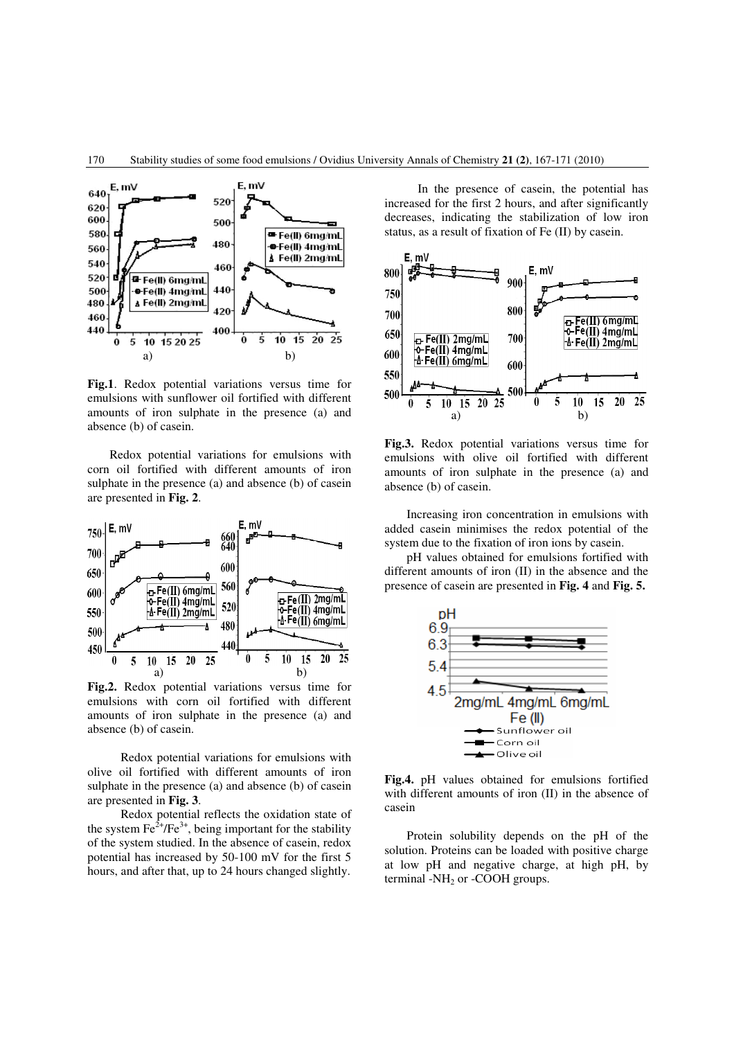

**Fig.1**. Redox potential variations versus time for emulsions with sunflower oil fortified with different amounts of iron sulphate in the presence (a) and absence (b) of casein.

Redox potential variations for emulsions with corn oil fortified with different amounts of iron sulphate in the presence (a) and absence (b) of casein are presented in **Fig. 2**.



**Fig.2.** Redox potential variations versus time for emulsions with corn oil fortified with different amounts of iron sulphate in the presence (a) and absence (b) of casein.

Redox potential variations for emulsions with olive oil fortified with different amounts of iron sulphate in the presence (a) and absence (b) of casein are presented in **Fig. 3**.

Redox potential reflects the oxidation state of the system  $\text{Fe}^{2+}/\text{Fe}^{3+}$ , being important for the stability of the system studied. In the absence of casein, redox potential has increased by 50-100 mV for the first 5 hours, and after that, up to 24 hours changed slightly.

In the presence of casein, the potential has increased for the first 2 hours, and after significantly decreases, indicating the stabilization of low iron status, as a result of fixation of Fe (II) by casein.



**Fig.3.** Redox potential variations versus time for emulsions with olive oil fortified with different amounts of iron sulphate in the presence (a) and absence (b) of casein.

Increasing iron concentration in emulsions with added casein minimises the redox potential of the system due to the fixation of iron ions by casein.

pH values obtained for emulsions fortified with different amounts of iron (II) in the absence and the presence of casein are presented in **Fig. 4** and **Fig. 5.** 



**Fig.4.** pH values obtained for emulsions fortified with different amounts of iron (II) in the absence of casein

Protein solubility depends on the pH of the solution. Proteins can be loaded with positive charge at low pH and negative charge, at high pH, by terminal  $-NH<sub>2</sub>$  or -COOH groups.